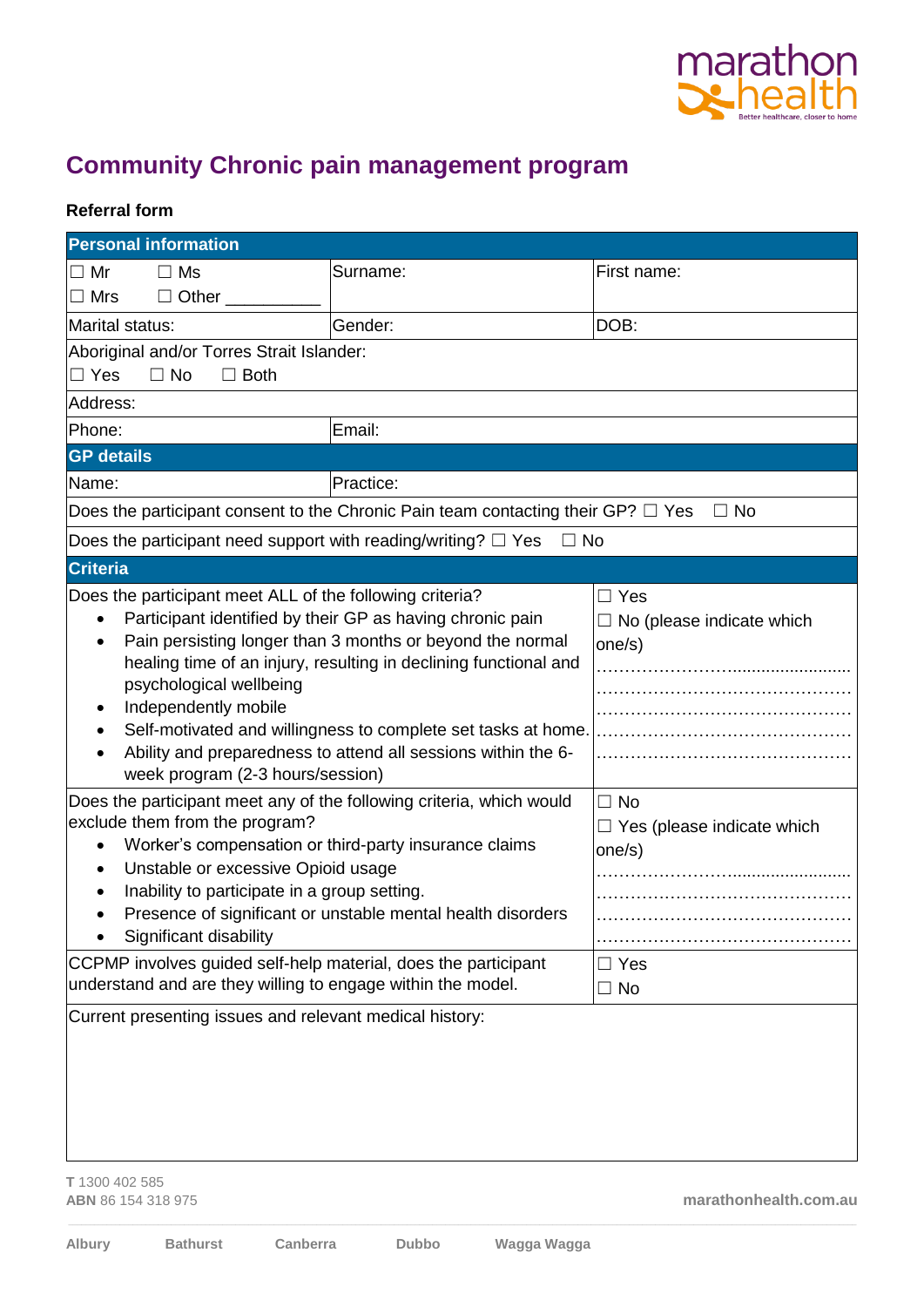

## **Community Chronic pain management program**

## **Referral form**

| <b>Personal information</b>                                                                                                                                                                                                                                                                                                                                                                                                                                                                               |           |                                                          |
|-----------------------------------------------------------------------------------------------------------------------------------------------------------------------------------------------------------------------------------------------------------------------------------------------------------------------------------------------------------------------------------------------------------------------------------------------------------------------------------------------------------|-----------|----------------------------------------------------------|
| $\Box$ Ms<br>$\Box$ Mr                                                                                                                                                                                                                                                                                                                                                                                                                                                                                    | Surname:  | First name:                                              |
| $\Box$ Other $\Box$<br>$\Box$ Mrs                                                                                                                                                                                                                                                                                                                                                                                                                                                                         |           |                                                          |
| Marital status:                                                                                                                                                                                                                                                                                                                                                                                                                                                                                           | Gender:   | DOB:                                                     |
| Aboriginal and/or Torres Strait Islander:<br>$\Box$ Yes<br>$\Box$ No<br>$\Box$ Both                                                                                                                                                                                                                                                                                                                                                                                                                       |           |                                                          |
| Address:                                                                                                                                                                                                                                                                                                                                                                                                                                                                                                  |           |                                                          |
| Phone:                                                                                                                                                                                                                                                                                                                                                                                                                                                                                                    | Email:    |                                                          |
| <b>GP</b> details                                                                                                                                                                                                                                                                                                                                                                                                                                                                                         |           |                                                          |
| Name:                                                                                                                                                                                                                                                                                                                                                                                                                                                                                                     | Practice: |                                                          |
| Does the participant consent to the Chronic Pain team contacting their GP? $\Box$ Yes<br>$\Box$ No                                                                                                                                                                                                                                                                                                                                                                                                        |           |                                                          |
| Does the participant need support with reading/writing? $\Box$ Yes<br>$\Box$ No                                                                                                                                                                                                                                                                                                                                                                                                                           |           |                                                          |
| <b>Criteria</b>                                                                                                                                                                                                                                                                                                                                                                                                                                                                                           |           |                                                          |
| Does the participant meet ALL of the following criteria?<br>Participant identified by their GP as having chronic pain<br>$\bullet$<br>Pain persisting longer than 3 months or beyond the normal<br>healing time of an injury, resulting in declining functional and<br>psychological wellbeing<br>Independently mobile<br>$\bullet$<br>Self-motivated and willingness to complete set tasks at home.<br>Ability and preparedness to attend all sessions within the 6-<br>week program (2-3 hours/session) |           | $\Box$ Yes<br>$\Box$ No (please indicate which<br>one/s) |
| Does the participant meet any of the following criteria, which would<br>exclude them from the program?<br>Worker's compensation or third-party insurance claims<br>$\bullet$<br>Unstable or excessive Opioid usage<br>٠<br>Inability to participate in a group setting.<br>٠<br>Presence of significant or unstable mental health disorders<br>Significant disability                                                                                                                                     |           | $\Box$ No<br>$\Box$ Yes (please indicate which<br>one/s) |
| CCPMP involves guided self-help material, does the participant<br>understand and are they willing to engage within the model.                                                                                                                                                                                                                                                                                                                                                                             |           | $\Box$ Yes<br>$\Box$ No                                  |
| Current presenting issues and relevant medical history:                                                                                                                                                                                                                                                                                                                                                                                                                                                   |           |                                                          |